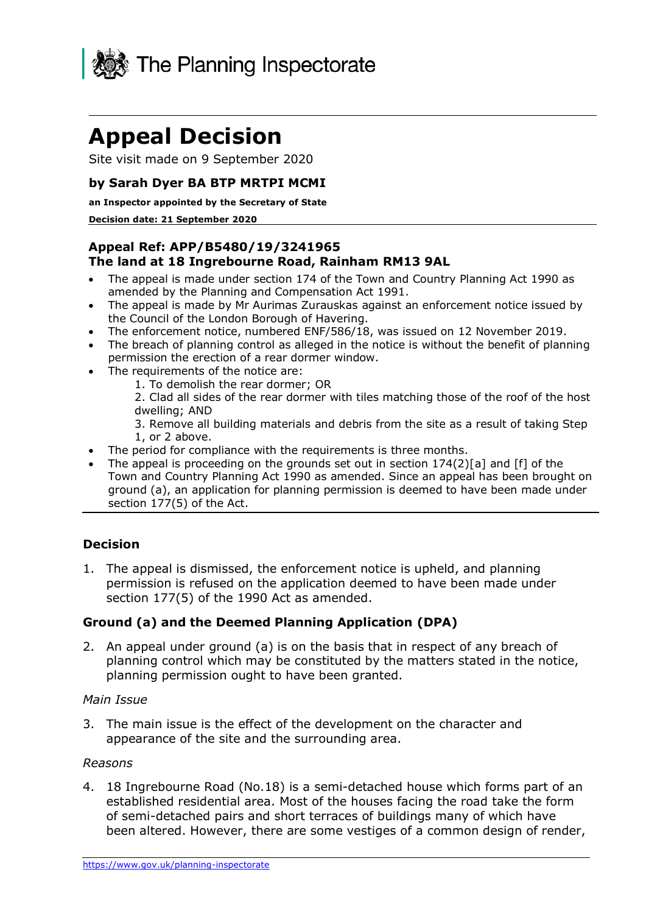

# **Appeal Decision**

Site visit made on 9 September 2020

# **by Sarah Dyer BA BTP MRTPI MCMI**

#### **an Inspector appointed by the Secretary of State**

#### **Decision date: 21 September 2020**

## **Appeal Ref: APP/B5480/19/3241965 The land at 18 Ingrebourne Road, Rainham RM13 9AL**

- • The appeal is made under section 174 of the Town and Country Planning Act 1990 as amended by the Planning and Compensation Act 1991.
- • The appeal is made by Mr Aurimas Zurauskas against an enforcement notice issued by the Council of the London Borough of Havering.
- The enforcement notice, numbered ENF/586/18, was issued on 12 November 2019.
- • The breach of planning control as alleged in the notice is without the benefit of planning permission the erection of a rear dormer window.
- • The requirements of the notice are:
	- 1. To demolish the rear dormer; OR

 2. Clad all sides of the rear dormer with tiles matching those of the roof of the host dwelling; AND

 3. Remove all building materials and debris from the site as a result of taking Step 1, or 2 above.

- The period for compliance with the requirements is three months.
- The appeal is proceeding on the grounds set out in section  $174(2)[a]$  and [f] of the Town and Country Planning Act 1990 as amended. Since an appeal has been brought on ground (a), an application for planning permission is deemed to have been made under section 177(5) of the Act.

# **Decision**

 1. The appeal is dismissed, the enforcement notice is upheld, and planning permission is refused on the application deemed to have been made under section 177(5) of the 1990 Act as amended.

## **Ground (a) and the Deemed Planning Application (DPA)**

 2. An appeal under ground (a) is on the basis that in respect of any breach of planning control which may be constituted by the matters stated in the notice, planning permission ought to have been granted.

#### *Main Issue*

 3. The main issue is the effect of the development on the character and appearance of the site and the surrounding area.

#### *Reasons*

 4. 18 Ingrebourne Road (No.18) is a semi-detached house which forms part of an established residential area. Most of the houses facing the road take the form of semi-detached pairs and short terraces of buildings many of which have been altered. However, there are some vestiges of a common design of render,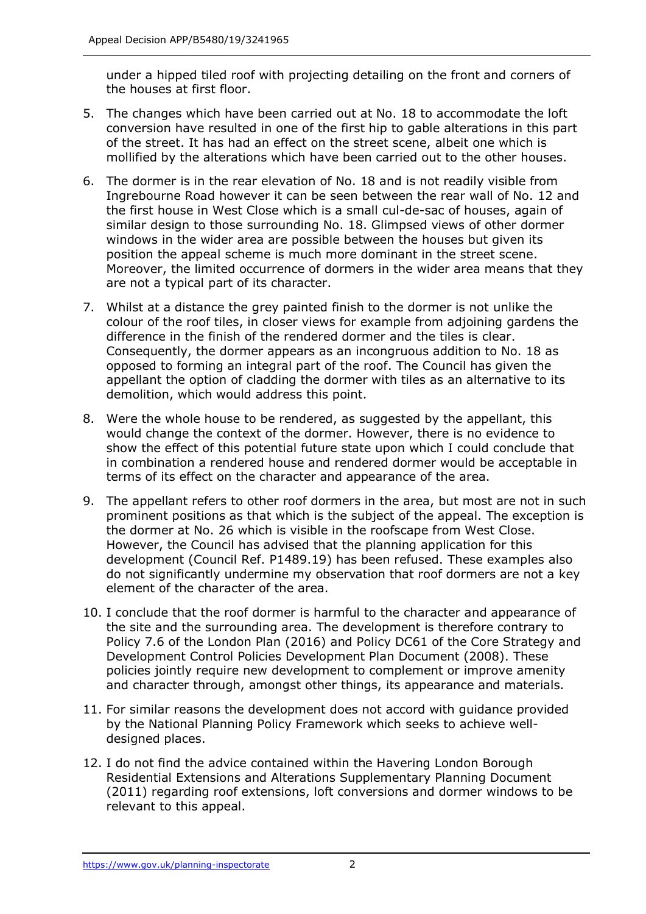under a hipped tiled roof with projecting detailing on the front and corners of the houses at first floor.

- 5. The changes which have been carried out at No. 18 to accommodate the loft conversion have resulted in one of the first hip to gable alterations in this part of the street. It has had an effect on the street scene, albeit one which is mollified by the alterations which have been carried out to the other houses.
- 6. The dormer is in the rear elevation of No. 18 and is not readily visible from Ingrebourne Road however it can be seen between the rear wall of No. 12 and the first house in West Close which is a small cul-de-sac of houses, again of similar design to those surrounding No. 18. Glimpsed views of other dormer windows in the wider area are possible between the houses but given its position the appeal scheme is much more dominant in the street scene. Moreover, the limited occurrence of dormers in the wider area means that they are not a typical part of its character.
- 7. Whilst at a distance the grey painted finish to the dormer is not unlike the colour of the roof tiles, in closer views for example from adjoining gardens the difference in the finish of the rendered dormer and the tiles is clear. Consequently, the dormer appears as an incongruous addition to No. 18 as opposed to forming an integral part of the roof. The Council has given the appellant the option of cladding the dormer with tiles as an alternative to its demolition, which would address this point.
- 8. Were the whole house to be rendered, as suggested by the appellant, this would change the context of the dormer. However, there is no evidence to show the effect of this potential future state upon which I could conclude that in combination a rendered house and rendered dormer would be acceptable in terms of its effect on the character and appearance of the area.
- 9. The appellant refers to other roof dormers in the area, but most are not in such prominent positions as that which is the subject of the appeal. The exception is the dormer at No. 26 which is visible in the roofscape from West Close. However, the Council has advised that the planning application for this development (Council Ref. P1489.19) has been refused. These examples also do not significantly undermine my observation that roof dormers are not a key element of the character of the area.
- 10. I conclude that the roof dormer is harmful to the character and appearance of the site and the surrounding area. The development is therefore contrary to Policy 7.6 of the London Plan (2016) and Policy DC61 of the Core Strategy and Development Control Policies Development Plan Document (2008). These policies jointly require new development to complement or improve amenity and character through, amongst other things, its appearance and materials.
- 11. For similar reasons the development does not accord with guidance provided by the National Planning Policy Framework which seeks to achieve welldesigned places.
- 12. I do not find the advice contained within the Havering London Borough Residential Extensions and Alterations Supplementary Planning Document (2011) regarding roof extensions, loft conversions and dormer windows to be relevant to this appeal.